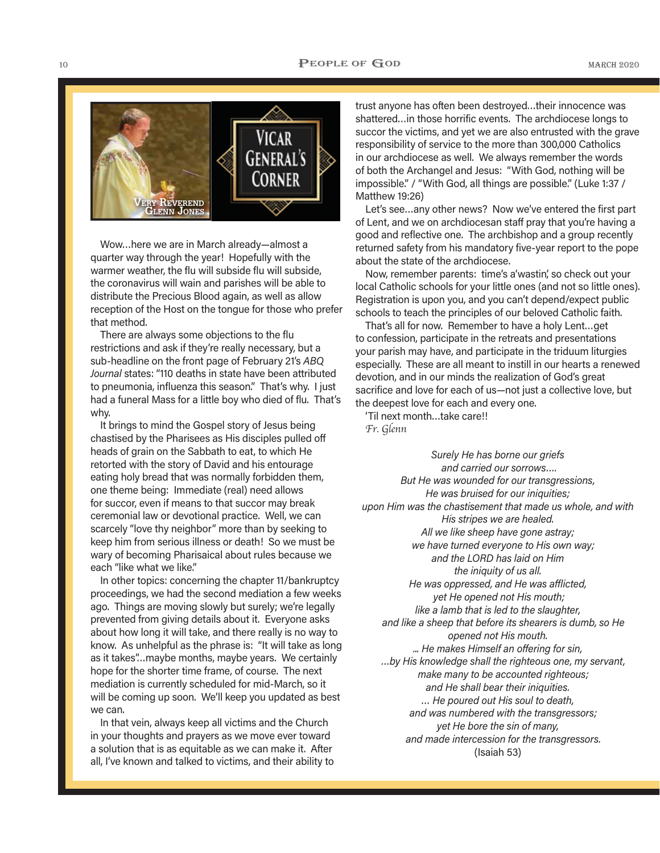

Wow…here we are in March already—almost a quarter way through the year! Hopefully with the warmer weather, the flu will subside flu will subside. the coronavirus will wain and parishes will be able to distribute the Precious Blood again, as well as allow reception of the Host on the tongue for those who prefer that method.

There are always some objections to the flu restrictions and ask if they're really necessary, but a sub-headline on the front page of February 21's *ABQ Journal* states: "110 deaths in state have been attributed to pneumonia, influenza this season." That's why. I just had a funeral Mass for a little boy who died of flu. That's why.

It brings to mind the Gospel story of Jesus being chastised by the Pharisees as His disciples pulled off heads of grain on the Sabbath to eat, to which He retorted with the story of David and his entourage eating holy bread that was normally forbidden them, one theme being: Immediate (real) need allows for succor, even if means to that succor may break ceremonial law or devotional practice. Well, we can scarcely "love thy neighbor" more than by seeking to keep him from serious illness or death! So we must be wary of becoming Pharisaical about rules because we each "like what we like."

In other topics: concerning the chapter 11/bankruptcy proceedings, we had the second mediation a few weeks ago. Things are moving slowly but surely; we're legally prevented from giving details about it. Everyone asks about how long it will take, and there really is no way to know. As unhelpful as the phrase is: "It will take as long as it takes"…maybe months, maybe years. We certainly hope for the shorter time frame, of course. The next mediation is currently scheduled for mid-March, so it will be coming up soon. We'll keep you updated as best we can.

In that vein, always keep all victims and the Church in your thoughts and prayers as we move ever toward a solution that is as equitable as we can make it. After all, I've known and talked to victims, and their ability to

trust anyone has often been destroyed…their innocence was shattered…in those horrific events. The archdiocese longs to succor the victims, and yet we are also entrusted with the grave responsibility of service to the more than 300,000 Catholics in our archdiocese as well. We always remember the words of both the Archangel and Jesus: "With God, nothing will be impossible." / "With God, all things are possible." (Luke 1:37 / Matthew 19:26)

Let's see…any other news? Now we've entered the first part of Lent, and we on archdiocesan staff pray that you're having a good and reflective one. The archbishop and a group recently returned safety from his mandatory five-year report to the pope about the state of the archdiocese.

Now, remember parents: time's a'wastin', so check out your local Catholic schools for your little ones (and not so little ones). Registration is upon you, and you can't depend/expect public schools to teach the principles of our beloved Catholic faith.

That's all for now. Remember to have a holy Lent…get to confession, participate in the retreats and presentations your parish may have, and participate in the triduum liturgies especially. These are all meant to instill in our hearts a renewed devotion, and in our minds the realization of God's great sacrifice and love for each of us—not just a collective love, but the deepest love for each and every one.

'Til next month…take care!! *Fr. Glenn*

*Surely He has borne our griefs and carried our sorrows…. But He was wounded for our transgressions, He was bruised for our iniquities; upon Him was the chastisement that made us whole, and with His stripes we are healed. All we like sheep have gone astray; we have turned everyone to His own way; and the LORD has laid on Him the iniquity of us all. He was oppressed, and He was afflicted, yet He opened not His mouth; like a lamb that is led to the slaughter, and like a sheep that before its shearers is dumb, so He opened not His mouth. ... He makes Himself an offering for sin, …by His knowledge shall the righteous one, my servant, make many to be accounted righteous; and He shall bear their iniquities. … He poured out His soul to death, and was numbered with the transgressors; yet He bore the sin of many, and made intercession for the transgressors.* (Isaiah 53)